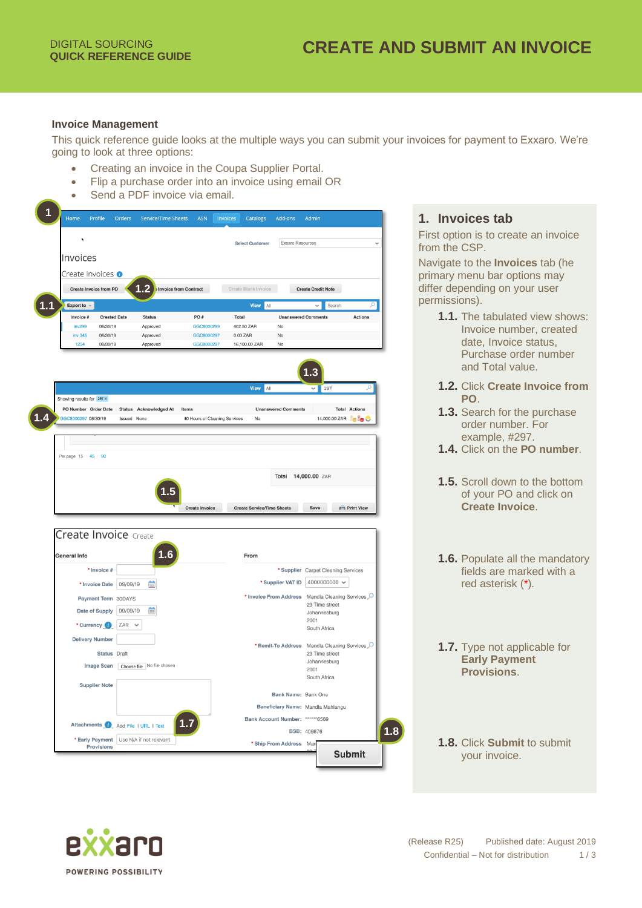#### **Invoice Management**

This quick reference guide looks at the multiple ways you can submit your invoices for payment to Exxaro. We're going to look at three options:

- Creating an invoice in the Coupa Supplier Portal.
- Flip a purchase order into an invoice using email OR
- Send a PDF invoice via email.



# **1. Invoices tab**

First option is to create an invoice from the CSP.

Navigate to the **Invoices** tab (he primary menu bar options may differ depending on your user permissions).

- **1.1.** The tabulated view shows: Invoice number, created date, Invoice status, Purchase order number and Total value.
- **1.2.** Click **Create Invoice from PO**.
- **1.3.** Search for the purchase order number. For example, #297.
- **1.4.** Click on the **PO number**.
- **1.5.** Scroll down to the bottom of your PO and click on **Create Invoice**.
- **1.6.** Populate all the mandatory fields are marked with a red asterisk (\*).
- **1.7.** Type not applicable for **Early Payment Provisions**.
- **1.8.** Click **Submit** to submit your invoice.

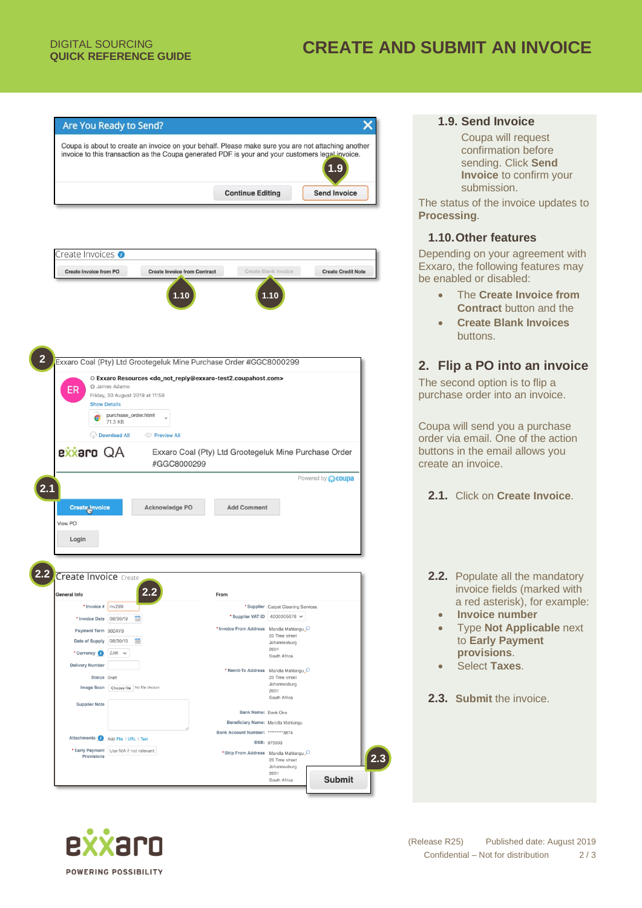



# **1.9. Send Invoice**

Coupa will request confirmation before sending. Click **Send Invoice** to confirm your submission.

The status of the invoice updates to **Processing**.

### **1.10.Other features**

Depending on your agreement with Exxaro, the following features may be enabled or disabled:

- The **Create Invoice from Contract** button and the
- **Create Blank Invoices** buttons.

# **2. Flip a PO into an invoice**

The second option is to flip a purchase order into an invoice.

Coupa will send you a purchase order via email. One of the action buttons in the email allows you create an invoice.

- **2.1.** Click on **Create Invoice**.
- **2.2.** Populate all the mandatory invoice fields (marked with a red asterisk), for example:
	- **Invoice number**
	- Type **Not Applicable** next to **Early Payment provisions**.
	- Select **Taxes**.
- **2.3. Submit** the invoice.